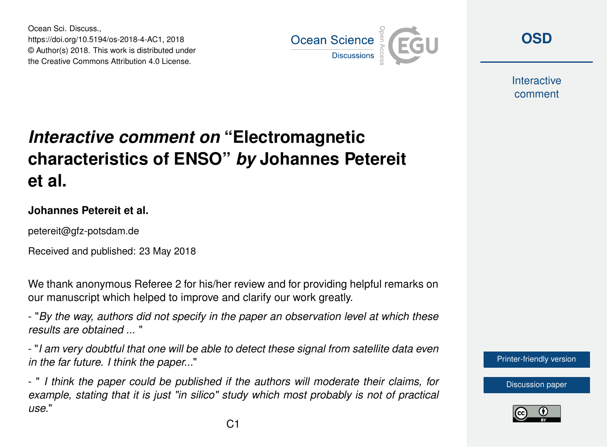Ocean Sci. Discuss., https://doi.org/10.5194/os-2018-4-AC1, 2018 © Author(s) 2018. This work is distributed under the Creative Commons Attribution 4.0 License.



**[OSD](https://www.ocean-sci-discuss.net/)**

**Interactive** comment

## *Interactive comment on* **"Electromagnetic characteristics of ENSO"** *by* **Johannes Petereit et al.**

## **Johannes Petereit et al.**

petereit@gfz-potsdam.de

Received and published: 23 May 2018

We thank anonymous Referee 2 for his/her review and for providing helpful remarks on our manuscript which helped to improve and clarify our work greatly.

- "*By the way, authors did not specify in the paper an observation level at which these results are obtained ...* "

- "*I am very doubtful that one will be able to detect these signal from satellite data even in the far future. I think the paper...*"

- " *I think the paper could be published if the authors will moderate their claims, for example, stating that it is just "in silico" study which most probably is not of practical use.*"



[Discussion paper](https://www.ocean-sci-discuss.net/os-2018-4)